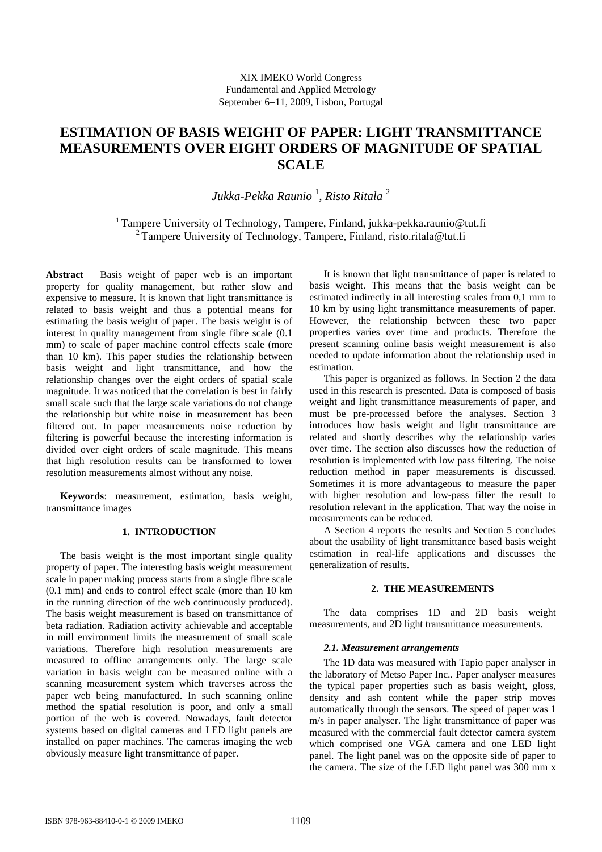# **ESTIMATION OF BASIS WEIGHT OF PAPER: LIGHT TRANSMITTANCE MEASUREMENTS OVER EIGHT ORDERS OF MAGNITUDE OF SPATIAL SCALE**

*Jukka-Pekka Raunio* <sup>1</sup> , *Risto Ritala* <sup>2</sup>

<sup>1</sup> Tampere University of Technology, Tampere, Finland, [jukka-pekka.raunio@tut.fi](mailto:jukka-pekka.raunio:@tut.fi) <sup>2</sup> Tampere University of Technology, Tampere, Finland, [risto.ritala@tut.fi](mailto:risto.ritala:@tut.fi)

Abstract – Basis weight of paper web is an important property for quality management, but rather slow and expensive to measure. It is known that light transmittance is related to basis weight and thus a potential means for estimating the basis weight of paper. The basis weight is of interest in quality management from single fibre scale (0.1 mm) to scale of paper machine control effects scale (more than 10 km). This paper studies the relationship between basis weight and light transmittance, and how the relationship changes over the eight orders of spatial scale magnitude. It was noticed that the correlation is best in fairly small scale such that the large scale variations do not change the relationship but white noise in measurement has been filtered out. In paper measurements noise reduction by filtering is powerful because the interesting information is divided over eight orders of scale magnitude. This means that high resolution results can be transformed to lower resolution measurements almost without any noise.

**Keywords**: measurement, estimation, basis weight, transmittance images

# **1. INTRODUCTION**

The basis weight is the most important single quality property of paper. The interesting basis weight measurement scale in paper making process starts from a single fibre scale (0.1 mm) and ends to control effect scale (more than 10 km in the running direction of the web continuously produced). The basis weight measurement is based on transmittance of beta radiation. Radiation activity achievable and acceptable in mill environment limits the measurement of small scale variations. Therefore high resolution measurements are measured to offline arrangements only. The large scale variation in basis weight can be measured online with a scanning measurement system which traverses across the paper web being manufactured. In such scanning online method the spatial resolution is poor, and only a small portion of the web is covered. Nowadays, fault detector systems based on digital cameras and LED light panels are installed on paper machines. The cameras imaging the web obviously measure light transmittance of paper.

It is known that light transmittance of paper is related to basis weight. This means that the basis weight can be estimated indirectly in all interesting scales from 0,1 mm to 10 km by using light transmittance measurements of paper. However, the relationship between these two paper properties varies over time and products. Therefore the present scanning online basis weight measurement is also needed to update information about the relationship used in estimation.

This paper is organized as follows. In Section 2 the data used in this research is presented. Data is composed of basis weight and light transmittance measurements of paper, and must be pre-processed before the analyses. Section 3 introduces how basis weight and light transmittance are related and shortly describes why the relationship varies over time. The section also discusses how the reduction of resolution is implemented with low pass filtering. The noise reduction method in paper measurements is discussed. Sometimes it is more advantageous to measure the paper with higher resolution and low-pass filter the result to resolution relevant in the application. That way the noise in measurements can be reduced.

A Section 4 reports the results and Section 5 concludes about the usability of light transmittance based basis weight estimation in real-life applications and discusses the generalization of results.

# **2. THE MEASUREMENTS**

 The data comprises 1D and 2D basis weight measurements, and 2D light transmittance measurements.

## *2.1. Measurement arrangements*

 The 1D data was measured with Tapio paper analyser in the laboratory of Metso Paper Inc.. Paper analyser measures the typical paper properties such as basis weight, gloss, density and ash content while the paper strip moves automatically through the sensors. The speed of paper was 1 m/s in paper analyser. The light transmittance of paper was measured with the commercial fault detector camera system which comprised one VGA camera and one LED light panel. The light panel was on the opposite side of paper to the camera. The size of the LED light panel was 300 mm x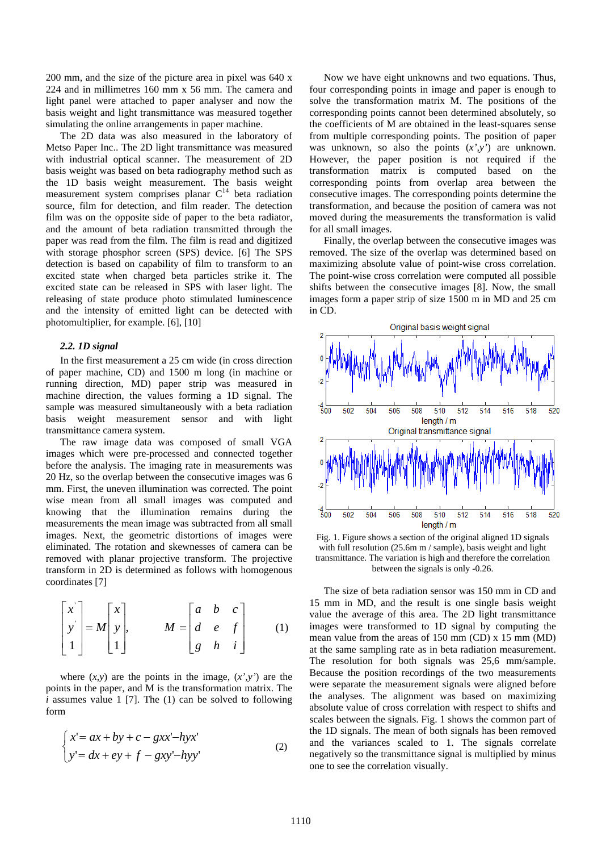200 mm, and the size of the picture area in pixel was 640 x 224 and in millimetres 160 mm x 56 mm. The camera and light panel were attached to paper analyser and now the basis weight and light transmittance was measured together simulating the online arrangements in paper machine.

 The 2D data was also measured in the laboratory of Metso Paper Inc.. The 2D light transmittance was measured with industrial optical scanner. The measurement of 2D basis weight was based on beta radiography method such as the 1D basis weight measurement. The basis weight measurement system comprises planar  $C<sup>14</sup>$  beta radiation source, film for detection, and film reader. The detection film was on the opposite side of paper to the beta radiator, and the amount of beta radiation transmitted through the paper was read from the film. The film is read and digitized with storage phosphor screen (SPS) device. [6] The SPS detection is based on capability of film to transform to an excited state when charged beta particles strike it. The excited state can be released in SPS with laser light. The releasing of state produce photo stimulated luminescence and the intensity of emitted light can be detected with photomultiplier, for example. [6], [10]

### *2.2. 1D signal*

In the first measurement a 25 cm wide (in cross direction of paper machine, CD) and 1500 m long (in machine or running direction, MD) paper strip was measured in machine direction, the values forming a 1D signal. The sample was measured simultaneously with a beta radiation basis weight measurement sensor and with light transmittance camera system.

The raw image data was composed of small VGA images which were pre-processed and connected together before the analysis. The imaging rate in measurements was 20 Hz, so the overlap between the consecutive images was 6 mm. First, the uneven illumination was corrected. The point wise mean from all small images was computed and knowing that the illumination remains during the measurements the mean image was subtracted from all small images. Next, the geometric distortions of images were eliminated. The rotation and skewnesses of camera can be removed with planar projective transform. The projective transform in 2D is determined as follows with homogenous coordinates [7]

$$
\begin{bmatrix} x \\ y \\ 1 \end{bmatrix} = M \begin{bmatrix} x \\ y \\ 1 \end{bmatrix}, \qquad M = \begin{bmatrix} a & b & c \\ d & e & f \\ g & h & i \end{bmatrix} \qquad (1)
$$

where  $(x, y)$  are the points in the image,  $(x', y')$  are the points in the paper, and M is the transformation matrix. The *i* assumes value 1 [7]. The (1) can be solved to following form

$$
\begin{cases}\nx' = ax + by + c - gxx' - hyx' \\
y' = dx + ey + f - gxy' - hyy'\n\end{cases}
$$
\n(2)

Now we have eight unknowns and two equations. Thus, four corresponding points in image and paper is enough to solve the transformation matrix M. The positions of the corresponding points cannot been determined absolutely, so the coefficients of M are obtained in the least-squares sense from multiple corresponding points. The position of paper was unknown, so also the points (*x',y'*) are unknown. However, the paper position is not required if the transformation matrix is computed based on the corresponding points from overlap area between the consecutive images. The corresponding points determine the transformation, and because the position of camera was not moved during the measurements the transformation is valid for all small images.

Finally, the overlap between the consecutive images was removed. The size of the overlap was determined based on maximizing absolute value of point-wise cross correlation. The point-wise cross correlation were computed all possible shifts between the consecutive images [8]. Now, the small images form a paper strip of size 1500 m in MD and 25 cm in CD.



Fig. 1. Figure shows a section of the original aligned 1D signals with full resolution (25.6m m / sample), basis weight and light transmittance. The variation is high and therefore the correlation between the signals is only -0.26.

The size of beta radiation sensor was 150 mm in CD and 15 mm in MD, and the result is one single basis weight value the average of this area. The 2D light transmittance images were transformed to 1D signal by computing the mean value from the areas of 150 mm (CD) x 15 mm (MD) at the same sampling rate as in beta radiation measurement. The resolution for both signals was 25,6 mm/sample. Because the position recordings of the two measurements were separate the measurement signals were aligned before the analyses. The alignment was based on maximizing absolute value of cross correlation with respect to shifts and scales between the signals. Fig. 1 shows the common part of the 1D signals. The mean of both signals has been removed and the variances scaled to 1. The signals correlate negatively so the transmittance signal is multiplied by minus one to see the correlation visually.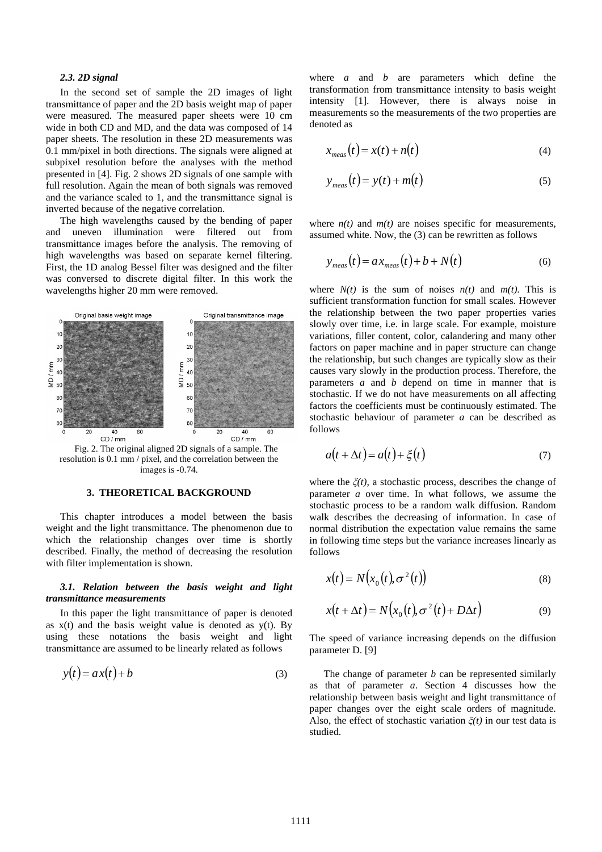#### *2.3. 2D signal*

In the second set of sample the 2D images of light transmittance of paper and the 2D basis weight map of paper were measured. The measured paper sheets were 10 cm wide in both CD and MD, and the data was composed of 14 paper sheets. The resolution in these 2D measurements was 0.1 mm/pixel in both directions. The signals were aligned at subpixel resolution before the analyses with the method presented in [4]. Fig. 2 shows 2D signals of one sample with full resolution. Again the mean of both signals was removed and the variance scaled to 1, and the transmittance signal is inverted because of the negative correlation.

The high wavelengths caused by the bending of paper and uneven illumination were filtered out from transmittance images before the analysis. The removing of high wavelengths was based on separate kernel filtering. First, the 1D analog Bessel filter was designed and the filter was conversed to discrete digital filter. In this work the wavelengths higher 20 mm were removed.



Fig. 2. The original aligned 2D signals of a sample. The resolution is 0.1 mm / pixel, and the correlation between the images is -0.74.

## **3. THEORETICAL BACKGROUND**

This chapter introduces a model between the basis weight and the light transmittance. The phenomenon due to which the relationship changes over time is shortly described. Finally, the method of decreasing the resolution with filter implementation is shown.

## *3.1. Relation between the basis weight and light transmittance measurements*

In this paper the light transmittance of paper is denoted as  $x(t)$  and the basis weight value is denoted as  $y(t)$ . By using these notations the basis weight and light transmittance are assumed to be linearly related as follows

$$
y(t) = ax(t) + b \tag{3}
$$

where *a* and *b* are parameters which define the transformation from transmittance intensity to basis weight intensity [1]. However, there is always noise in measurements so the measurements of the two properties are denoted as

$$
x_{meas}(t) = x(t) + n(t)
$$
\n(4)

$$
y_{meas}(t) = y(t) + m(t)
$$
 (5)

where  $n(t)$  and  $m(t)$  are noises specific for measurements, assumed white. Now, the (3) can be rewritten as follows

$$
y_{meas}(t) = ax_{meas}(t) + b + N(t)
$$
\n(6)

where  $N(t)$  is the sum of noises  $n(t)$  and  $m(t)$ . This is sufficient transformation function for small scales. However the relationship between the two paper properties varies slowly over time, i.e. in large scale. For example, moisture variations, filler content, color, calandering and many other factors on paper machine and in paper structure can change the relationship, but such changes are typically slow as their causes vary slowly in the production process. Therefore, the parameters *a* and *b* depend on time in manner that is stochastic. If we do not have measurements on all affecting factors the coefficients must be continuously estimated. The stochastic behaviour of parameter *a* can be described as follows

$$
a(t + \Delta t) = a(t) + \xi(t)
$$
\n(7)

where the  $\zeta(t)$ , a stochastic process, describes the change of parameter *a* over time. In what follows, we assume the stochastic process to be a random walk diffusion. Random walk describes the decreasing of information. In case of normal distribution the expectation value remains the same in following time steps but the variance increases linearly as follows

$$
x(t) = N(x_0(t), \sigma^2(t))
$$
\n(8)

$$
x(t + \Delta t) = N(x_0(t), \sigma^2(t) + D\Delta t)
$$
\n(9)

The speed of variance increasing depends on the diffusion parameter D. [9]

 The change of parameter *b* can be represented similarly as that of parameter *a*. Section 4 discusses how the relationship between basis weight and light transmittance of paper changes over the eight scale orders of magnitude. Also, the effect of stochastic variation  $\zeta(t)$  in our test data is studied.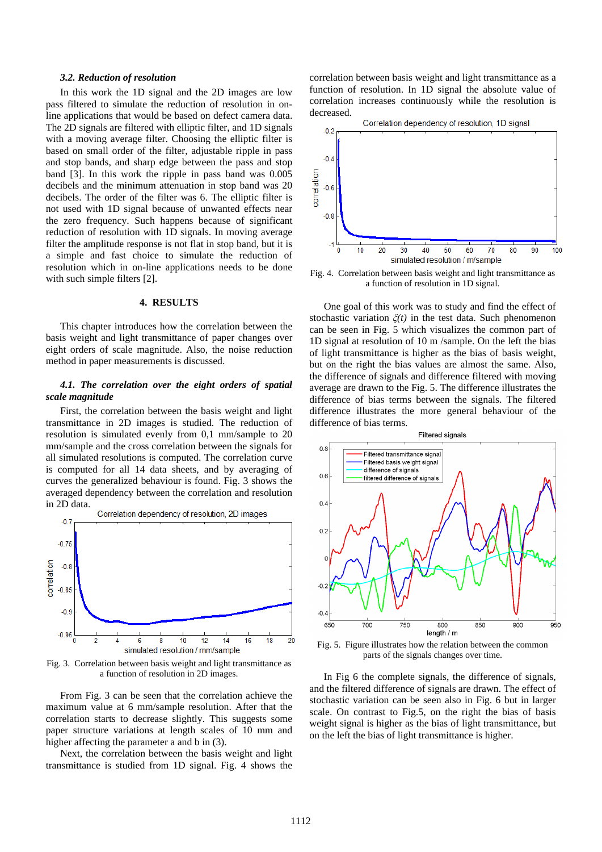#### *3.2. Reduction of resolution*

In this work the 1D signal and the 2D images are low pass filtered to simulate the reduction of resolution in online applications that would be based on defect camera data. The 2D signals are filtered with elliptic filter, and 1D signals with a moving average filter. Choosing the elliptic filter is based on small order of the filter, adjustable ripple in pass and stop bands, and sharp edge between the pass and stop band [3]. In this work the ripple in pass band was 0.005 decibels and the minimum attenuation in stop band was 20 decibels. The order of the filter was 6. The elliptic filter is not used with 1D signal because of unwanted effects near the zero frequency. Such happens because of significant reduction of resolution with 1D signals. In moving average filter the amplitude response is not flat in stop band, but it is a simple and fast choice to simulate the reduction of resolution which in on-line applications needs to be done with such simple filters [2].

## **4. RESULTS**

This chapter introduces how the correlation between the basis weight and light transmittance of paper changes over eight orders of scale magnitude. Also, the noise reduction method in paper measurements is discussed.

## *4.1. The correlation over the eight orders of spatial scale magnitude*

 First, the correlation between the basis weight and light transmittance in 2D images is studied. The reduction of resolution is simulated evenly from 0,1 mm/sample to 20 mm/sample and the cross correlation between the signals for all simulated resolutions is computed. The correlation curve is computed for all 14 data sheets, and by averaging of curves the generalized behaviour is found. Fig. 3 shows the averaged dependency between the correlation and resolution in 2D data.



Fig. 3. Correlation between basis weight and light transmittance as a function of resolution in 2D images.

From Fig. 3 can be seen that the correlation achieve the maximum value at 6 mm/sample resolution. After that the correlation starts to decrease slightly. This suggests some paper structure variations at length scales of 10 mm and higher affecting the parameter a and b in (3).

Next, the correlation between the basis weight and light transmittance is studied from 1D signal. Fig. 4 shows the correlation between basis weight and light transmittance as a function of resolution. In 1D signal the absolute value of correlation increases continuously while the resolution is decreased.



Fig. 4. Correlation between basis weight and light transmittance as a function of resolution in 1D signal.

One goal of this work was to study and find the effect of stochastic variation *ȟ(t)* in the test data. Such phenomenon can be seen in Fig. 5 which visualizes the common part of 1D signal at resolution of 10 m /sample. On the left the bias of light transmittance is higher as the bias of basis weight, but on the right the bias values are almost the same. Also, the difference of signals and difference filtered with moving average are drawn to the Fig. 5. The difference illustrates the difference of bias terms between the signals. The filtered difference illustrates the more general behaviour of the difference of bias terms.



Fig. 5. Figure illustrates how the relation between the common parts of the signals changes over time.

 In Fig 6 the complete signals, the difference of signals, and the filtered difference of signals are drawn. The effect of stochastic variation can be seen also in Fig. 6 but in larger scale. On contrast to Fig.5, on the right the bias of basis weight signal is higher as the bias of light transmittance, but on the left the bias of light transmittance is higher.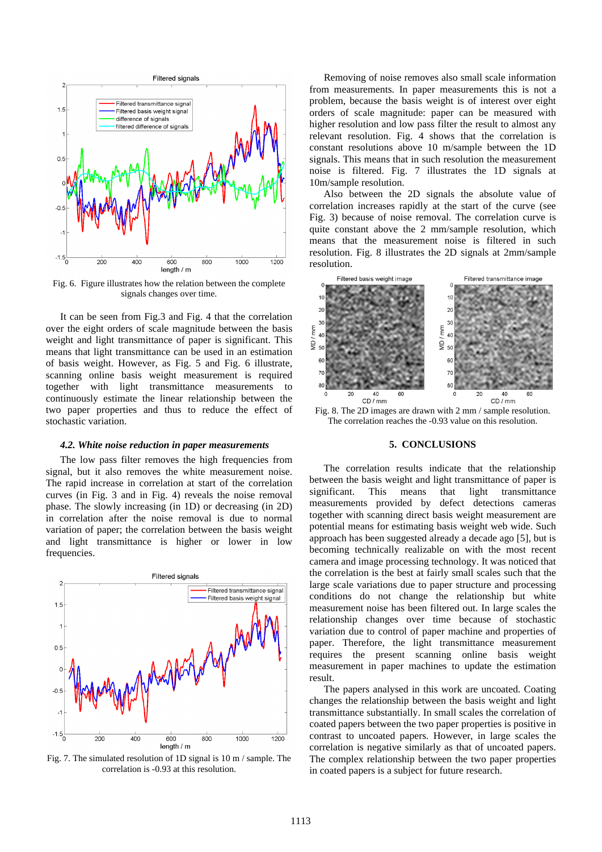

Fig. 6. Figure illustrates how the relation between the complete signals changes over time.

It can be seen from Fig.3 and Fig. 4 that the correlation over the eight orders of scale magnitude between the basis weight and light transmittance of paper is significant. This means that light transmittance can be used in an estimation of basis weight. However, as Fig. 5 and Fig. 6 illustrate, scanning online basis weight measurement is required together with light transmittance measurements to continuously estimate the linear relationship between the two paper properties and thus to reduce the effect of stochastic variation.

#### *4.2. White noise reduction in paper measurements*

The low pass filter removes the high frequencies from signal, but it also removes the white measurement noise. The rapid increase in correlation at start of the correlation curves (in Fig. 3 and in Fig. 4) reveals the noise removal phase. The slowly increasing (in 1D) or decreasing (in 2D) in correlation after the noise removal is due to normal variation of paper; the correlation between the basis weight and light transmittance is higher or lower in low frequencies.



Fig. 7. The simulated resolution of 1D signal is 10 m / sample. The correlation is -0.93 at this resolution.

Removing of noise removes also small scale information from measurements. In paper measurements this is not a problem, because the basis weight is of interest over eight orders of scale magnitude: paper can be measured with higher resolution and low pass filter the result to almost any relevant resolution. Fig. 4 shows that the correlation is constant resolutions above 10 m/sample between the 1D signals. This means that in such resolution the measurement noise is filtered. Fig. 7 illustrates the 1D signals at 10m/sample resolution.

 Also between the 2D signals the absolute value of correlation increases rapidly at the start of the curve (see Fig. 3) because of noise removal. The correlation curve is quite constant above the 2 mm/sample resolution, which means that the measurement noise is filtered in such resolution. Fig. 8 illustrates the 2D signals at 2mm/sample resolution.



Fig. 8. The 2D images are drawn with 2 mm / sample resolution. The correlation reaches the -0.93 value on this resolution.

# **5. CONCLUSIONS**

 The correlation results indicate that the relationship between the basis weight and light transmittance of paper is significant. This means that light transmittance measurements provided by defect detections cameras together with scanning direct basis weight measurement are potential means for estimating basis weight web wide. Such approach has been suggested already a decade ago [5], but is becoming technically realizable on with the most recent camera and image processing technology. It was noticed that the correlation is the best at fairly small scales such that the large scale variations due to paper structure and processing conditions do not change the relationship but white measurement noise has been filtered out. In large scales the relationship changes over time because of stochastic variation due to control of paper machine and properties of paper. Therefore, the light transmittance measurement requires the present scanning online basis weight measurement in paper machines to update the estimation result.

The papers analysed in this work are uncoated. Coating changes the relationship between the basis weight and light transmittance substantially. In small scales the correlation of coated papers between the two paper properties is positive in contrast to uncoated papers. However, in large scales the correlation is negative similarly as that of uncoated papers. The complex relationship between the two paper properties in coated papers is a subject for future research.